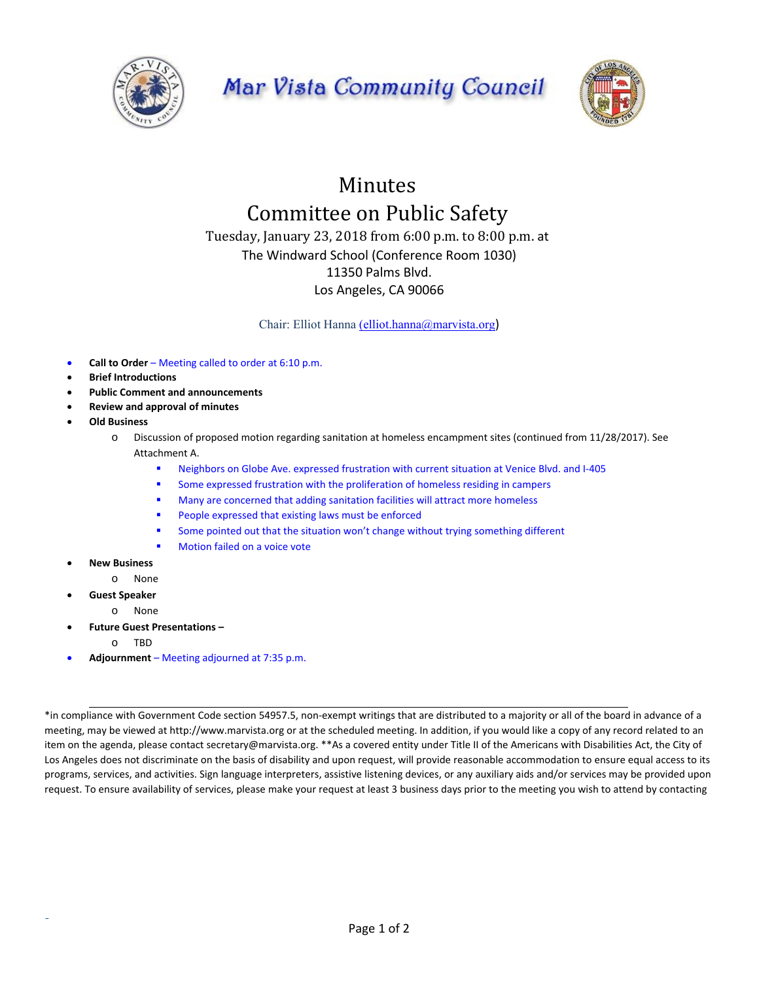

## Mar Vista Community Council



## Minutes Committee on Public Safety

Tuesday, January 23, 2018 from 6:00 p.m. to 8:00 p.m. at The Windward School (Conference Room 1030) 11350 Palms Blvd. Los Angeles, CA 90066

Chair: Elliot Hanna (elliot.hanna@marvista.org)

- **Call to Order**  Meeting called to order at 6:10 p.m.
- **Brief Introductions**
- **Public Comment and announcements**
- **Review and approval of minutes**
- **Old Business** 
	- o Discussion of proposed motion regarding sanitation at homeless encampment sites (continued from 11/28/2017). See Attachment A.
		- Neighbors on Globe Ave. expressed frustration with current situation at Venice Blvd. and I‐405
		- Some expressed frustration with the proliferation of homeless residing in campers
		- **Many are concerned that adding sanitation facilities will attract more homeless**
		- **People expressed that existing laws must be enforced**
		- **Some pointed out that the situation won't change without trying something different**
		- Motion failed on a voice vote
- **New Business** 
	- o None
- **Guest Speaker**

S

- o None
- **Future Guest Presentations** 
	- o TBD
- **Adjournment**  Meeting adjourned at 7:35 p.m.

\*in compliance with Government Code section 54957.5, non‐exempt writings that are distributed to a majority or all of the board in advance of a meeting, may be viewed at http://www.marvista.org or at the scheduled meeting. In addition, if you would like a copy of any record related to an item on the agenda, please contact secretary@marvista.org. \*\*As a covered entity under Title II of the Americans with Disabilities Act, the City of Los Angeles does not discriminate on the basis of disability and upon request, will provide reasonable accommodation to ensure equal access to its programs, services, and activities. Sign language interpreters, assistive listening devices, or any auxiliary aids and/or services may be provided upon request. To ensure availability of services, please make your request at least 3 business days prior to the meeting you wish to attend by contacting